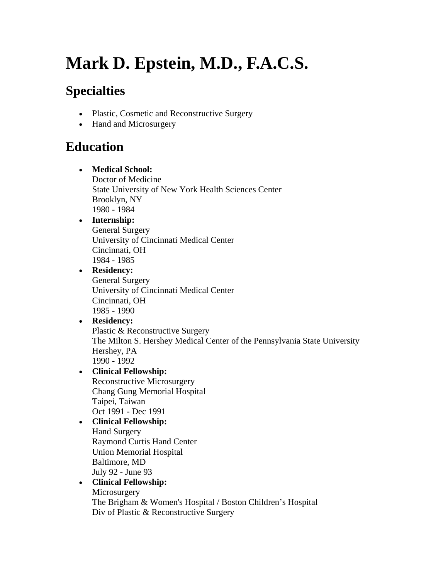# **Mark D. Epstein, M.D., F.A.C.S.**

### **Specialties**

- Plastic, Cosmetic and Reconstructive Surgery
- Hand and Microsurgery

### **Education**

- **Medical School:** Doctor of Medicine State University of New York Health Sciences Center Brooklyn, NY 1980 - 1984
- **Internship:** General Surgery University of Cincinnati Medical Center Cincinnati, OH 1984 - 1985

#### • **Residency:** General Surgery

University of Cincinnati Medical Center Cincinnati, OH 1985 - 1990

#### • **Residency:** Plastic & Reconstructive Surgery The Milton S. Hershey Medical Center of the Pennsylvania State University Hershey, PA 1990 - 1992

- **Clinical Fellowship:** Reconstructive Microsurgery Chang Gung Memorial Hospital Taipei, Taiwan Oct 1991 - Dec 1991
- **Clinical Fellowship:** Hand Surgery Raymond Curtis Hand Center Union Memorial Hospital Baltimore, MD July 92 - June 93

#### • **Clinical Fellowship:**

Microsurgery The Brigham & Women's Hospital / Boston Children's Hospital Div of Plastic & Reconstructive Surgery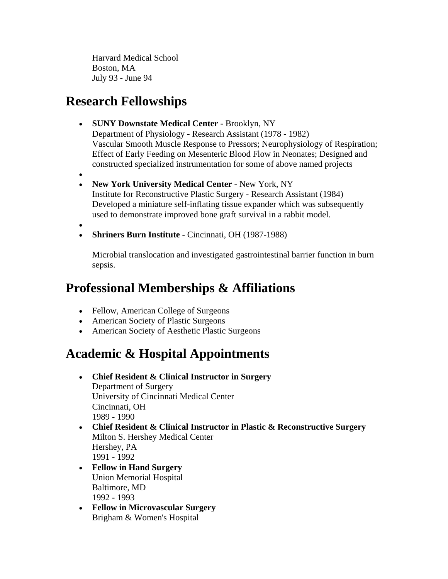Harvard Medical School Boston, MA July 93 - June 94

#### **Research Fellowships**

- **SUNY Downstate Medical Center** Brooklyn, NY Department of Physiology - Research Assistant (1978 - 1982) Vascular Smooth Muscle Response to Pressors; Neurophysiology of Respiration; Effect of Early Feeding on Mesenteric Blood Flow in Neonates; Designed and constructed specialized instrumentation for some of above named projects
- •
- **New York University Medical Center**  New York, NY Institute for Reconstructive Plastic Surgery - Research Assistant (1984) Developed a miniature self-inflating tissue expander which was subsequently used to demonstrate improved bone graft survival in a rabbit model.
- •
- **Shriners Burn Institute** Cincinnati, OH (1987-1988)

Microbial translocation and investigated gastrointestinal barrier function in burn sepsis.

#### **Professional Memberships & Affiliations**

- Fellow, American College of Surgeons
- American Society of Plastic Surgeons
- American Society of Aesthetic Plastic Surgeons

#### **Academic & Hospital Appointments**

- **Chief Resident & Clinical Instructor in Surgery** Department of Surgery University of Cincinnati Medical Center Cincinnati, OH 1989 - 1990
- **Chief Resident & Clinical Instructor in Plastic & Reconstructive Surgery** Milton S. Hershey Medical Center Hershey, PA 1991 - 1992
- **Fellow in Hand Surgery** Union Memorial Hospital Baltimore, MD 1992 - 1993
- **Fellow in Microvascular Surgery** Brigham & Women's Hospital